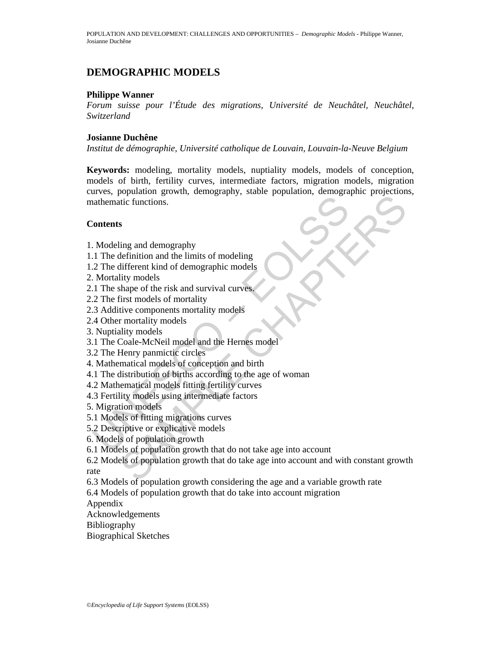# **DEMOGRAPHIC MODELS**

## **Philippe Wanner**

*Forum suisse pour l'Étude des migrations, Université de Neuchâtel, Neuchâtel, Switzerland* 

## **Josianne Duchêne**

*Institut de démographie, Université catholique de Louvain, Louvain-la-Neuve Belgium* 

Modeling and demography<br>
2. Modeling and demography<br>
1. The definition and the limits of modeling<br>
2. The different kind of demographic models<br>
2. The find in a survival curves.<br>
2. The find in the same of the risk and sur **Keywords:** modeling, mortality models, nuptiality models, models of conception, models of birth, fertility curves, intermediate factors, migration models, migration curves, population growth, demography, stable population, demographic projections, mathematic functions.

## **Contents**

- 1. Modeling and demography
- 1.1 The definition and the limits of modeling
- 1.2 The different kind of demographic models
- 2. Mortality models
- 2.1 The shape of the risk and survival curves.
- 2.2 The first models of mortality
- 2.3 Additive components mortality models
- 2.4 Other mortality models
- 3. Nuptiality models
- 3.1 The Coale-McNeil model and the Hernes model
- 3.2 The Henry panmictic circles
- 4. Mathematical models of conception and birth
- 4.1 The distribution of births according to the age of woman
- 4.2 Mathematical models fitting fertility curves
- 4.3 Fertility models using intermediate factors
- 5. Migration models
- 5.1 Models of fitting migrations curves
- 5.2 Descriptive or explicative models
- 6. Models of population growth
- 6.1 Models of population growth that do not take age into account
- Explanarion growth controlled and the finance of the season of the season of the functions.<br>
It is function and the limits of modeling<br>
different kind of demographic models<br>
lity models<br>
lity models<br>
it is models of mortal 6.2 Models of population growth that do take age into account and with constant growth rate
- 6.3 Models of population growth considering the age and a variable growth rate
- 6.4 Models of population growth that do take into account migration

Appendix

Acknowledgements

- Bibliography
- Biographical Sketches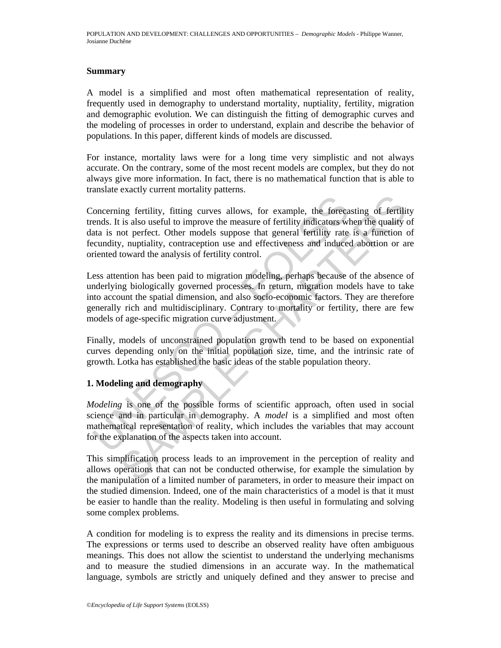## **Summary**

A model is a simplified and most often mathematical representation of reality, frequently used in demography to understand mortality, nuptiality, fertility, migration and demographic evolution. We can distinguish the fitting of demographic curves and the modeling of processes in order to understand, explain and describe the behavior of populations. In this paper, different kinds of models are discussed.

For instance, mortality laws were for a long time very simplistic and not always accurate. On the contrary, some of the most recent models are complex, but they do not always give more information. In fact, there is no mathematical function that is able to translate exactly current mortality patterns.

foncerning fertility, fitting curves allows, for example, the force<br>ends. It is also useful to improve the measure of fertility indicators wi<br>tata is not perfect. Other models suppose that general fertility rate<br>cundity, n ing fertility, fitting curves allows, for example, the forceasting of fertilit<br>is also useful to improve the measure of fertility indicators when the quality<br>of perfect. Other models suppose that general fertility rate is Concerning fertility, fitting curves allows, for example, the forecasting of fertility trends. It is also useful to improve the measure of fertility indicators when the quality of data is not perfect. Other models suppose that general fertility rate is a function of fecundity, nuptiality, contraception use and effectiveness and induced abortion or are oriented toward the analysis of fertility control.

Less attention has been paid to migration modeling, perhaps because of the absence of underlying biologically governed processes. In return, migration models have to take into account the spatial dimension, and also socio-economic factors. They are therefore generally rich and multidisciplinary. Contrary to mortality or fertility, there are few models of age-specific migration curve adjustment.

Finally, models of unconstrained population growth tend to be based on exponential curves depending only on the initial population size, time, and the intrinsic rate of growth. Lotka has established the basic ideas of the stable population theory.

## **1. Modeling and demography**

*Modeling* is one of the possible forms of scientific approach, often used in social science and in particular in demography. A *model* is a simplified and most often mathematical representation of reality, which includes the variables that may account for the explanation of the aspects taken into account.

This simplification process leads to an improvement in the perception of reality and allows operations that can not be conducted otherwise, for example the simulation by the manipulation of a limited number of parameters, in order to measure their impact on the studied dimension. Indeed, one of the main characteristics of a model is that it must be easier to handle than the reality. Modeling is then useful in formulating and solving some complex problems.

A condition for modeling is to express the reality and its dimensions in precise terms. The expressions or terms used to describe an observed reality have often ambiguous meanings. This does not allow the scientist to understand the underlying mechanisms and to measure the studied dimensions in an accurate way. In the mathematical language, symbols are strictly and uniquely defined and they answer to precise and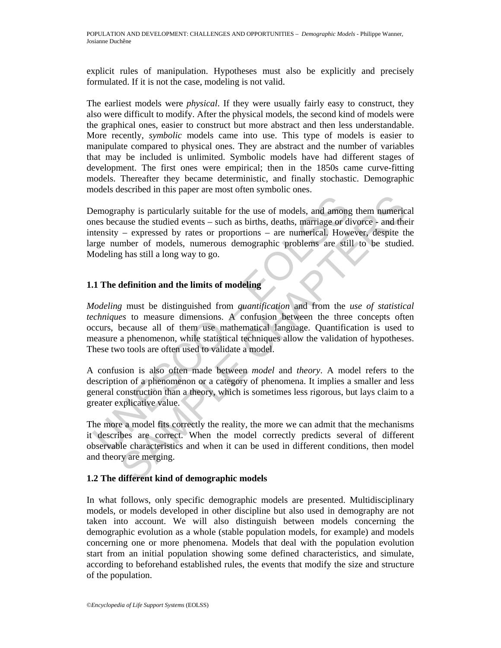explicit rules of manipulation. Hypotheses must also be explicitly and precisely formulated. If it is not the case, modeling is not valid.

The earliest models were *physical*. If they were usually fairly easy to construct, they also were difficult to modify. After the physical models, the second kind of models were the graphical ones, easier to construct but more abstract and then less understandable. More recently, *symbolic* models came into use. This type of models is easier to manipulate compared to physical ones. They are abstract and the number of variables that may be included is unlimited. Symbolic models have had different stages of development. The first ones were empirical; then in the 1850s came curve-fitting models. Thereafter they became deterministic, and finally stochastic. Demographic models described in this paper are most often symbolic ones.

bemography is particularly suitable for the use of models, and among<br>mes because the studied events – such as births, deaths, marriage or d<br>tensity – expressed by rates or proportions – are numerical. How<br>figure number of phy is particularly suitable for the use of models, and among them numericause the studied events – such as births, deaths, marriage or divorce - and the – expressed by rates or proportions – are numerical. However, despit Demography is particularly suitable for the use of models, and among them numerical ones because the studied events – such as births, deaths, marriage or divorce - and their intensity – expressed by rates or proportions – are numerical. However, despite the large number of models, numerous demographic problems are still to be studied. Modeling has still a long way to go.

## **1.1 The definition and the limits of modeling**

*Modeling* must be distinguished from *quantification* and from the *use of statistical techniques* to measure dimensions. A confusion between the three concepts often occurs, because all of them use mathematical language. Quantification is used to measure a phenomenon, while statistical techniques allow the validation of hypotheses. These two tools are often used to validate a model.

A confusion is also often made between *model* and *theory*. A model refers to the description of a phenomenon or a category of phenomena. It implies a smaller and less general construction than a theory, which is sometimes less rigorous, but lays claim to a greater explicative value.

The more a model fits correctly the reality, the more we can admit that the mechanisms it describes are correct. When the model correctly predicts several of different observable characteristics and when it can be used in different conditions, then model and theory are merging.

## **1.2 The different kind of demographic models**

In what follows, only specific demographic models are presented. Multidisciplinary models, or models developed in other discipline but also used in demography are not taken into account. We will also distinguish between models concerning the demographic evolution as a whole (stable population models, for example) and models concerning one or more phenomena. Models that deal with the population evolution start from an initial population showing some defined characteristics, and simulate, according to beforehand established rules, the events that modify the size and structure of the population.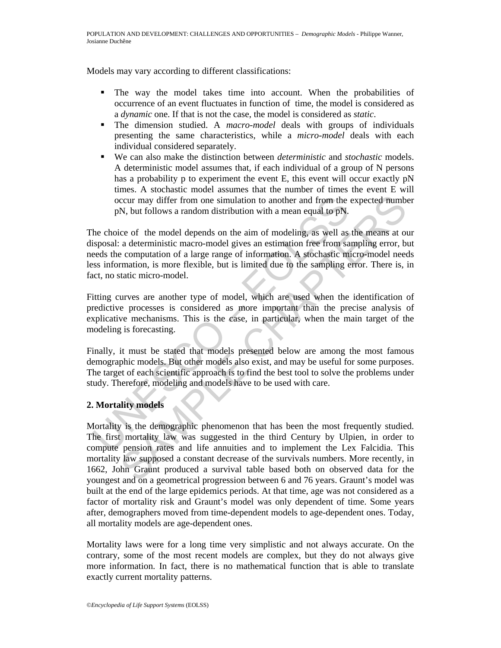Models may vary according to different classifications:

- The way the model takes time into account. When the probabilities of occurrence of an event fluctuates in function of time, the model is considered as a *dynamic* one. If that is not the case, the model is considered as *static*.
- The dimension studied. A *macro-model* deals with groups of individuals presenting the same characteristics, while a *micro-model* deals with each individual considered separately.
- We can also make the distinction between *deterministic* and *stochastic* models. A deterministic model assumes that, if each individual of a group of N persons has a probability p to experiment the event E, this event will occur exactly pN times. A stochastic model assumes that the number of times the event E will occur may differ from one simulation to another and from the expected number pN, but follows a random distribution with a mean equal to pN.

occur may differ from one simulation to another and from the<br>pN, but follows a random distribution with a mean equal to pN.<br>he choice of the model depends on the aim of modeling, as well as<br>isposal: a deterministic macro-m The choice of the model depends on the aim of modeling, as well as the means at our disposal: a deterministic macro-model gives an estimation free from sampling error, but needs the computation of a large range of information. A stochastic micro-model needs less information, is more flexible, but is limited due to the sampling error. There is, in fact, no static micro-model.

Fitting curves are another type of model, which are used when the identification of predictive processes is considered as more important than the precise analysis of explicative mechanisms. This is the case, in particular, when the main target of the modeling is forecasting.

Finally, it must be stated that models presented below are among the most famous demographic models. But other models also exist, and may be useful for some purposes. The target of each scientific approach is to find the best tool to solve the problems under study. Therefore, modeling and models have to be used with care.

## **2. Mortality models**

ccur may differ from one simulation to another and from the expected numbs<br>
N, but follows a random distribution with a mean equal to pN.<br>
ce of the model depends on the aim of modeling, as well as the means at our<br>
a dete Mortality is the demographic phenomenon that has been the most frequently studied. The first mortality law was suggested in the third Century by Ulpien, in order to compute pension rates and life annuities and to implement the Lex Falcidia. This mortality law supposed a constant decrease of the survivals numbers. More recently, in 1662, John Graunt produced a survival table based both on observed data for the youngest and on a geometrical progression between 6 and 76 years. Graunt's model was built at the end of the large epidemics periods. At that time, age was not considered as a factor of mortality risk and Graunt's model was only dependent of time. Some years after, demographers moved from time-dependent models to age-dependent ones. Today, all mortality models are age-dependent ones.

Mortality laws were for a long time very simplistic and not always accurate. On the contrary, some of the most recent models are complex, but they do not always give more information. In fact, there is no mathematical function that is able to translate exactly current mortality patterns.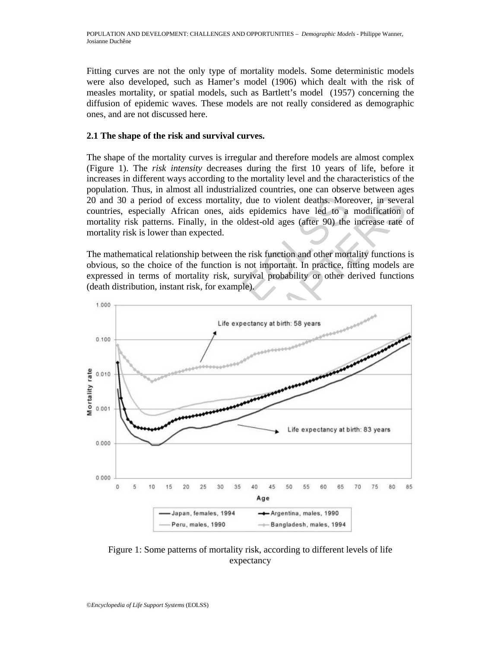Fitting curves are not the only type of mortality models. Some deterministic models were also developed, such as Hamer's model (1906) which dealt with the risk of measles mortality, or spatial models, such as Bartlett's model (1957) concerning the diffusion of epidemic waves. These models are not really considered as demographic ones, and are not discussed here.

## **2.1 The shape of the risk and survival curves.**

The shape of the mortality curves is irregular and therefore models are almost complex (Figure 1). The *risk intensity* decreases during the first 10 years of life, before it increases in different ways according to the mortality level and the characteristics of the population. Thus, in almost all industrialized countries, one can observe between ages 20 and 30 a period of excess mortality, due to violent deaths. Moreover, in several countries, especially African ones, aids epidemics have led to a modification of mortality risk patterns. Finally, in the oldest-old ages (after 90) the increase rate of mortality risk is lower than expected.

The mathematical relationship between the risk function and other mortality functions is obvious, so the choice of the function is not important. In practice, fitting models are expressed in terms of mortality risk, survival probability or other derived functions (death distribution, instant risk, for example).



Figure 1: Some patterns of mortality risk, according to different levels of life expectancy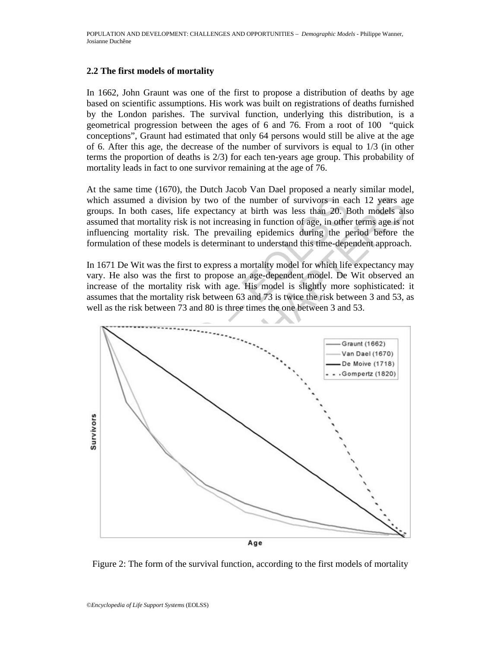## **2.2 The first models of mortality**

In 1662, John Graunt was one of the first to propose a distribution of deaths by age based on scientific assumptions. His work was built on registrations of deaths furnished by the London parishes. The survival function, underlying this distribution, is a geometrical progression between the ages of 6 and 76. From a root of 100 "quick conceptions", Graunt had estimated that only 64 persons would still be alive at the age of 6. After this age, the decrease of the number of survivors is equal to 1/3 (in other terms the proportion of deaths is 2/3) for each ten-years age group. This probability of mortality leads in fact to one survivor remaining at the age of 76.

At the same time (1670), the Dutch Jacob Van Dael proposed a nearly similar model, which assumed a division by two of the number of survivors in each 12 years age groups. In both cases, life expectancy at birth was less than 20. Both models also assumed that mortality risk is not increasing in function of age, in other terms age is not influencing mortality risk. The prevailing epidemics during the period before the formulation of these models is determinant to understand this time-dependent approach.

In 1671 De Wit was the first to express a mortality model for which life expectancy may vary. He also was the first to propose an age-dependent model. De Wit observed an increase of the mortality risk with age. His model is slightly more sophisticated: it assumes that the mortality risk between 63 and 73 is twice the risk between 3 and 53, as well as the risk between 73 and 80 is three times the one between 3 and 53.



Figure 2: The form of the survival function, according to the first models of mortality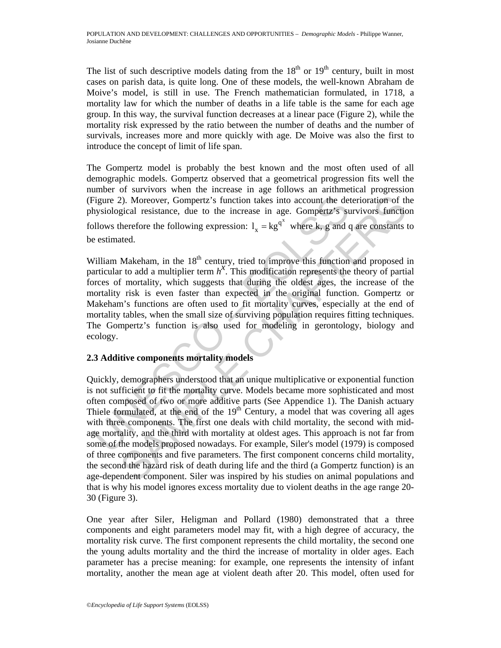The list of such descriptive models dating from the  $18<sup>th</sup>$  or  $19<sup>th</sup>$  century, built in most cases on parish data, is quite long. One of these models, the well-known Abraham de Moive's model, is still in use. The French mathematician formulated, in 1718, a mortality law for which the number of deaths in a life table is the same for each age group. In this way, the survival function decreases at a linear pace (Figure 2), while the mortality risk expressed by the ratio between the number of deaths and the number of survivals, increases more and more quickly with age. De Moive was also the first to introduce the concept of limit of life span.

The Gompertz model is probably the best known and the most often used of all demographic models. Gompertz observed that a geometrical progression fits well the number of survivors when the increase in age follows an arithmetical progression (Figure 2). Moreover, Gompertz's function takes into account the deterioration of the physiological resistance, due to the increase in age. Gompertz's survivors function follows therefore the following expression:  $l_x = kg^{q^x}$  where k, g and q are constants to be estimated.

Figure 2). Moreover, Gompertz's function takes into account the dehysiological resistance, due to the increase in age. Gompertz's stillows therefore the following expression:  $l_x = kg^{q^x}$  where k, g and c estimated.<br>
Villi William Makeham, in the 18<sup>th</sup> century, tried to improve this function and proposed in with the term is the containty, the term particular to add a multiplier term  $h^x$ . This modification represents the theory of partial forces of mortality, which suggests that during the oldest ages, the increase of the mortality risk is even faster than expected in the original function. Gompertz or Makeham's functions are often used to fit mortality curves, especially at the end of mortality tables, when the small size of surviving population requires fitting techniques. The Gompertz's function is also used for modeling in gerontology, biology and ecology.

## **2.3 Additive components mortality models**

2). Moreover, Gompertz's function takes into account the deterioration of th<br>gical resistance, due to the increase in age. Gompettz's survivors functio<br>herefore the following expression:  $1_x = kg^{q^3}$  where k, g and q are c Quickly, demographers understood that an unique multiplicative or exponential function is not sufficient to fit the mortality curve. Models became more sophisticated and most often composed of two or more additive parts (See Appendice 1). The Danish actuary Thiele formulated, at the end of the  $19<sup>th</sup>$  Century, a model that was covering all ages with three components. The first one deals with child mortality, the second with midage mortality, and the third with mortality at oldest ages. This approach is not far from some of the models proposed nowadays. For example, Siler's model (1979) is composed of three components and five parameters. The first component concerns child mortality, the second the hazard risk of death during life and the third (a Gompertz function) is an age-dependent component. Siler was inspired by his studies on animal populations and that is why his model ignores excess mortality due to violent deaths in the age range 20- 30 (Figure 3).

One year after Siler, Heligman and Pollard (1980) demonstrated that a three components and eight parameters model may fit, with a high degree of accuracy, the mortality risk curve. The first component represents the child mortality, the second one the young adults mortality and the third the increase of mortality in older ages. Each parameter has a precise meaning: for example, one represents the intensity of infant mortality, another the mean age at violent death after 20. This model, often used for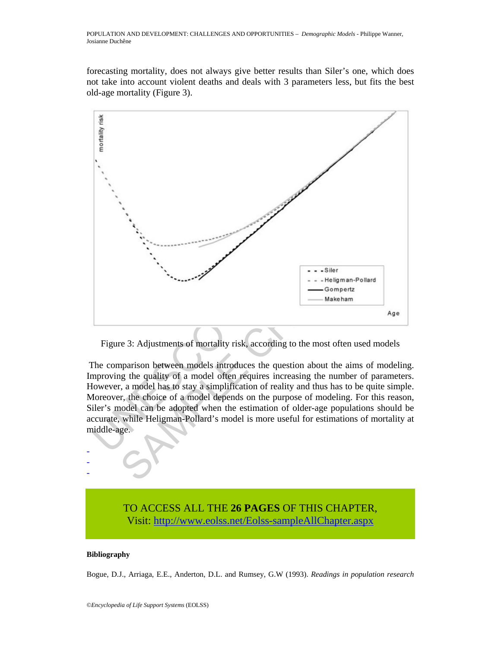forecasting mortality, does not always give better results than Siler's one, which does not take into account violent deaths and deals with 3 parameters less, but fits the best old-age mortality (Figure 3).



Figure 3: Adjustments of mortality risk, according to the most often used models

 The comparison between models introduces the question about the aims of modeling. Improving the quality of a model often requires increasing the number of parameters. However, a model has to stay a simplification of reality and thus has to be quite simple. Moreover, the choice of a model depends on the purpose of modeling. For this reason, Siler's model can be adopted when the estimation of older-age populations should be accurate, while Heligman-Pollard's model is more useful for estimations of mortality at middle-age.

# TO ACCESS ALL THE **26 PAGES** OF THIS CHAPTER, Visit[: http://www.eolss.net/Eolss-sampleAllChapter.aspx](https://www.eolss.net/ebooklib/sc_cart.aspx?File=E1-13-01-07)

#### **Bibliography**

- - -

Bogue, D.J., Arriaga, E.E., Anderton, D.L. and Rumsey, G.W (1993). *Readings in population research*